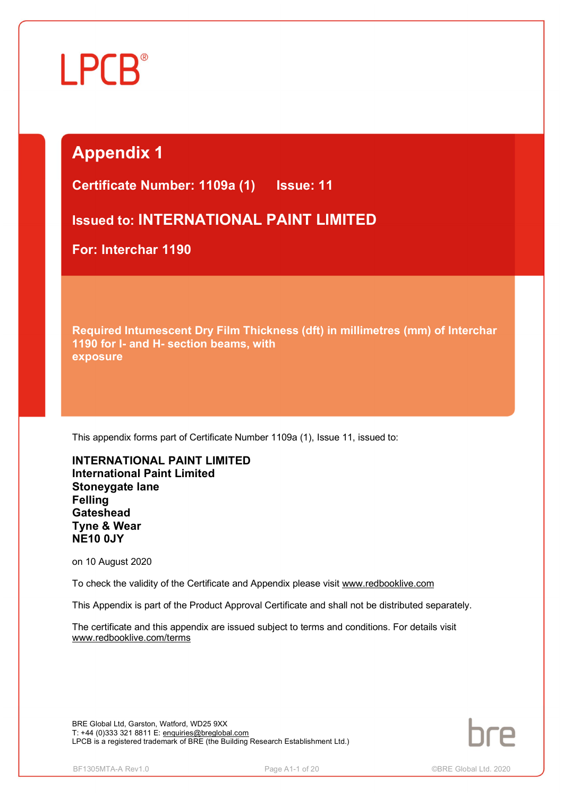## **Appendix 1**

**Certificate Number: 1109a (1) Issue: 11** 

**Issued to: INTERNATIONAL PAINT LIMITED**

**For: Interchar 1190**

**Required Intumescent Dry Film Thickness (dft) in millimetres (mm) of Interchar 1190 for I- and H- section beams, with exposure**

This appendix forms part of Certificate Number 1109a (1), Issue 11, issued to:

**INTERNATIONAL PAINT LIMITED International Paint Limited Stoneygate lane Felling Gateshead Tyne & Wear NE10 0JY**

on 10 August 2020

To check the validity of the Certificate and Appendix please visit [www.redbooklive.com](http://www.redbooklive.com)

This Appendix is part of the Product Approval Certificate and shall not be distributed separately.

The certificate and this appendix are issued subject to terms and conditions. For details visit [www.redbooklive.com/terms](http://www.redbooklive.com/terms)

BRE Global Ltd, Garston, Watford, WD25 9XX T: +44 (0)333 321 8811 E: [enquiries@breglobal.com](mailto:enquiries@breglobal.com) LPCB is a registered trademark of BRE (the Building Research Establishment Ltd.)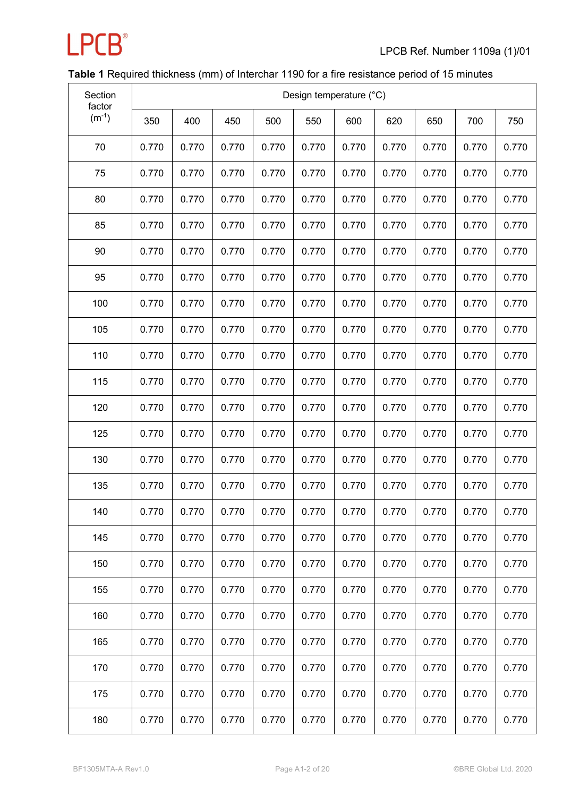

### **Table 1** Required thickness (mm) of Interchar 1190 for a fire resistance period of 15 minutes

| Section<br>factor |       |       |       |       |       | Design temperature (°C) |       |       |       |       |
|-------------------|-------|-------|-------|-------|-------|-------------------------|-------|-------|-------|-------|
| $(m^{-1})$        | 350   | 400   | 450   | 500   | 550   | 600                     | 620   | 650   | 700   | 750   |
| 70                | 0.770 | 0.770 | 0.770 | 0.770 | 0.770 | 0.770                   | 0.770 | 0.770 | 0.770 | 0.770 |
| 75                | 0.770 | 0.770 | 0.770 | 0.770 | 0.770 | 0.770                   | 0.770 | 0.770 | 0.770 | 0.770 |
| 80                | 0.770 | 0.770 | 0.770 | 0.770 | 0.770 | 0.770                   | 0.770 | 0.770 | 0.770 | 0.770 |
| 85                | 0.770 | 0.770 | 0.770 | 0.770 | 0.770 | 0.770                   | 0.770 | 0.770 | 0.770 | 0.770 |
| 90                | 0.770 | 0.770 | 0.770 | 0.770 | 0.770 | 0.770                   | 0.770 | 0.770 | 0.770 | 0.770 |
| 95                | 0.770 | 0.770 | 0.770 | 0.770 | 0.770 | 0.770                   | 0.770 | 0.770 | 0.770 | 0.770 |
| 100               | 0.770 | 0.770 | 0.770 | 0.770 | 0.770 | 0.770                   | 0.770 | 0.770 | 0.770 | 0.770 |
| 105               | 0.770 | 0.770 | 0.770 | 0.770 | 0.770 | 0.770                   | 0.770 | 0.770 | 0.770 | 0.770 |
| 110               | 0.770 | 0.770 | 0.770 | 0.770 | 0.770 | 0.770                   | 0.770 | 0.770 | 0.770 | 0.770 |
| 115               | 0.770 | 0.770 | 0.770 | 0.770 | 0.770 | 0.770                   | 0.770 | 0.770 | 0.770 | 0.770 |
| 120               | 0.770 | 0.770 | 0.770 | 0.770 | 0.770 | 0.770                   | 0.770 | 0.770 | 0.770 | 0.770 |
| 125               | 0.770 | 0.770 | 0.770 | 0.770 | 0.770 | 0.770                   | 0.770 | 0.770 | 0.770 | 0.770 |
| 130               | 0.770 | 0.770 | 0.770 | 0.770 | 0.770 | 0.770                   | 0.770 | 0.770 | 0.770 | 0.770 |
| 135               | 0.770 | 0.770 | 0.770 | 0.770 | 0.770 | 0.770                   | 0.770 | 0.770 | 0.770 | 0.770 |
| 140               | 0.770 | 0.770 | 0.770 | 0.770 | 0.770 | 0.770                   | 0.770 | 0.770 | 0.770 | 0.770 |
| 145               | 0.770 | 0.770 | 0.770 | 0.770 | 0.770 | 0.770                   | 0.770 | 0.770 | 0.770 | 0.770 |
| 150               | 0.770 | 0.770 | 0.770 | 0.770 | 0.770 | 0.770                   | 0.770 | 0.770 | 0.770 | 0.770 |
| 155               | 0.770 | 0.770 | 0.770 | 0.770 | 0.770 | 0.770                   | 0.770 | 0.770 | 0.770 | 0.770 |
| 160               | 0.770 | 0.770 | 0.770 | 0.770 | 0.770 | 0.770                   | 0.770 | 0.770 | 0.770 | 0.770 |
| 165               | 0.770 | 0.770 | 0.770 | 0.770 | 0.770 | 0.770                   | 0.770 | 0.770 | 0.770 | 0.770 |
| 170               | 0.770 | 0.770 | 0.770 | 0.770 | 0.770 | 0.770                   | 0.770 | 0.770 | 0.770 | 0.770 |
| 175               | 0.770 | 0.770 | 0.770 | 0.770 | 0.770 | 0.770                   | 0.770 | 0.770 | 0.770 | 0.770 |
| 180               | 0.770 | 0.770 | 0.770 | 0.770 | 0.770 | 0.770                   | 0.770 | 0.770 | 0.770 | 0.770 |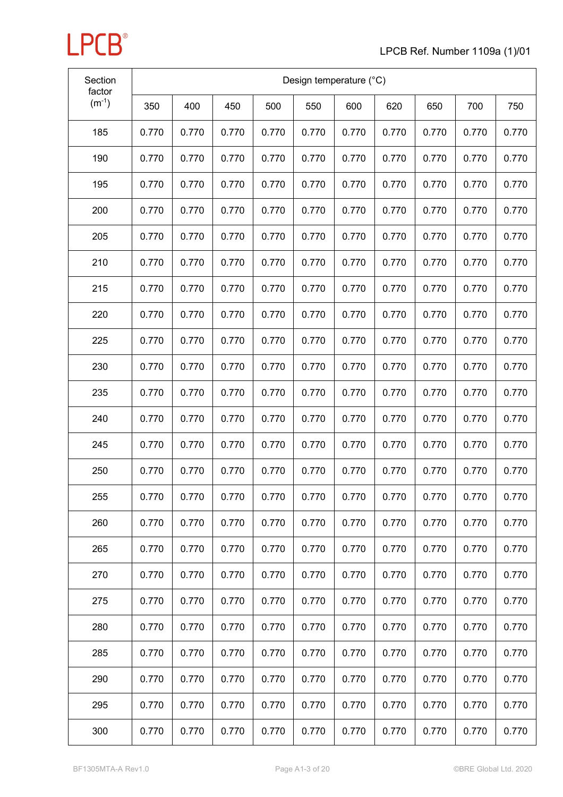| Section<br>factor |       |       |       |       | Design temperature (°C) |       |       |       |       |       |
|-------------------|-------|-------|-------|-------|-------------------------|-------|-------|-------|-------|-------|
| $(m^{-1})$        | 350   | 400   | 450   | 500   | 550                     | 600   | 620   | 650   | 700   | 750   |
| 185               | 0.770 | 0.770 | 0.770 | 0.770 | 0.770                   | 0.770 | 0.770 | 0.770 | 0.770 | 0.770 |
| 190               | 0.770 | 0.770 | 0.770 | 0.770 | 0.770                   | 0.770 | 0.770 | 0.770 | 0.770 | 0.770 |
| 195               | 0.770 | 0.770 | 0.770 | 0.770 | 0.770                   | 0.770 | 0.770 | 0.770 | 0.770 | 0.770 |
| 200               | 0.770 | 0.770 | 0.770 | 0.770 | 0.770                   | 0.770 | 0.770 | 0.770 | 0.770 | 0.770 |
| 205               | 0.770 | 0.770 | 0.770 | 0.770 | 0.770                   | 0.770 | 0.770 | 0.770 | 0.770 | 0.770 |
| 210               | 0.770 | 0.770 | 0.770 | 0.770 | 0.770                   | 0.770 | 0.770 | 0.770 | 0.770 | 0.770 |
| 215               | 0.770 | 0.770 | 0.770 | 0.770 | 0.770                   | 0.770 | 0.770 | 0.770 | 0.770 | 0.770 |
| 220               | 0.770 | 0.770 | 0.770 | 0.770 | 0.770                   | 0.770 | 0.770 | 0.770 | 0.770 | 0.770 |
| 225               | 0.770 | 0.770 | 0.770 | 0.770 | 0.770                   | 0.770 | 0.770 | 0.770 | 0.770 | 0.770 |
| 230               | 0.770 | 0.770 | 0.770 | 0.770 | 0.770                   | 0.770 | 0.770 | 0.770 | 0.770 | 0.770 |
| 235               | 0.770 | 0.770 | 0.770 | 0.770 | 0.770                   | 0.770 | 0.770 | 0.770 | 0.770 | 0.770 |
| 240               | 0.770 | 0.770 | 0.770 | 0.770 | 0.770                   | 0.770 | 0.770 | 0.770 | 0.770 | 0.770 |
| 245               | 0.770 | 0.770 | 0.770 | 0.770 | 0.770                   | 0.770 | 0.770 | 0.770 | 0.770 | 0.770 |
| 250               | 0.770 | 0.770 | 0.770 | 0.770 | 0.770                   | 0.770 | 0.770 | 0.770 | 0.770 | 0.770 |
| 255               | 0.770 | 0.770 | 0.770 | 0.770 | 0.770                   | 0.770 | 0.770 | 0.770 | 0.770 | 0.770 |
| 260               | 0.770 | 0.770 | 0.770 | 0.770 | 0.770                   | 0.770 | 0.770 | 0.770 | 0.770 | 0.770 |
| 265               | 0.770 | 0.770 | 0.770 | 0.770 | 0.770                   | 0.770 | 0.770 | 0.770 | 0.770 | 0.770 |
| 270               | 0.770 | 0.770 | 0.770 | 0.770 | 0.770                   | 0.770 | 0.770 | 0.770 | 0.770 | 0.770 |
| 275               | 0.770 | 0.770 | 0.770 | 0.770 | 0.770                   | 0.770 | 0.770 | 0.770 | 0.770 | 0.770 |
| 280               | 0.770 | 0.770 | 0.770 | 0.770 | 0.770                   | 0.770 | 0.770 | 0.770 | 0.770 | 0.770 |
| 285               | 0.770 | 0.770 | 0.770 | 0.770 | 0.770                   | 0.770 | 0.770 | 0.770 | 0.770 | 0.770 |
| 290               | 0.770 | 0.770 | 0.770 | 0.770 | 0.770                   | 0.770 | 0.770 | 0.770 | 0.770 | 0.770 |
| 295               | 0.770 | 0.770 | 0.770 | 0.770 | 0.770                   | 0.770 | 0.770 | 0.770 | 0.770 | 0.770 |
| 300               | 0.770 | 0.770 | 0.770 | 0.770 | 0.770                   | 0.770 | 0.770 | 0.770 | 0.770 | 0.770 |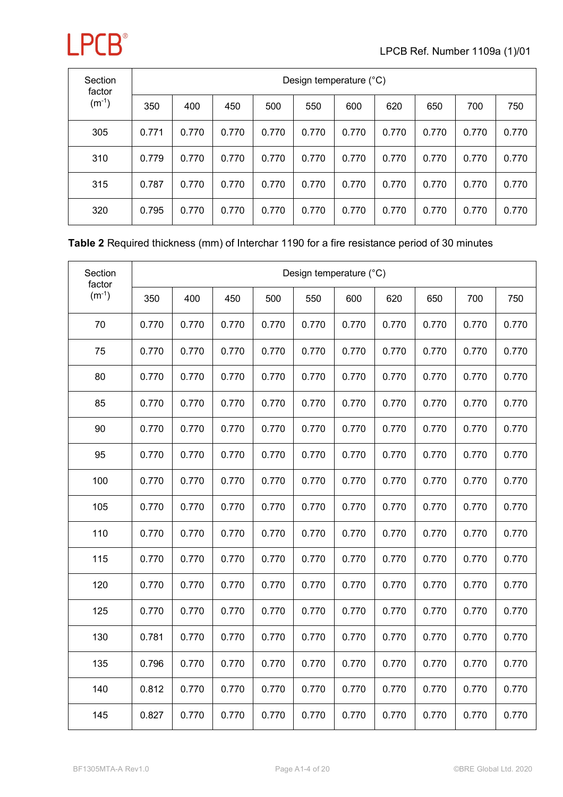| Section<br>factor | Design temperature (°C) |       |       |       |       |       |       |       |       |       |  |  |  |
|-------------------|-------------------------|-------|-------|-------|-------|-------|-------|-------|-------|-------|--|--|--|
| $(m^{-1})$        | 350                     | 400   | 450   | 500   | 550   | 600   | 620   | 650   | 700   | 750   |  |  |  |
| 305               | 0.771                   | 0.770 | 0.770 | 0.770 | 0.770 | 0.770 | 0.770 | 0.770 | 0.770 | 0.770 |  |  |  |
| 310               | 0.779                   | 0.770 | 0.770 | 0.770 | 0.770 | 0.770 | 0.770 | 0.770 | 0.770 | 0.770 |  |  |  |
| 315               | 0.787                   | 0.770 | 0.770 | 0.770 | 0.770 | 0.770 | 0.770 | 0.770 | 0.770 | 0.770 |  |  |  |
| 320               | 0.795                   | 0.770 | 0.770 | 0.770 | 0.770 | 0.770 | 0.770 | 0.770 | 0.770 | 0.770 |  |  |  |

#### **Table 2** Required thickness (mm) of Interchar 1190 for a fire resistance period of 30 minutes

| Section<br>factor |       |       |       |       |       | Design temperature (°C) |       |       |       |       |
|-------------------|-------|-------|-------|-------|-------|-------------------------|-------|-------|-------|-------|
| $(m^{-1})$        | 350   | 400   | 450   | 500   | 550   | 600                     | 620   | 650   | 700   | 750   |
| 70                | 0.770 | 0.770 | 0.770 | 0.770 | 0.770 | 0.770                   | 0.770 | 0.770 | 0.770 | 0.770 |
| 75                | 0.770 | 0.770 | 0.770 | 0.770 | 0.770 | 0.770                   | 0.770 | 0.770 | 0.770 | 0.770 |
| 80                | 0.770 | 0.770 | 0.770 | 0.770 | 0.770 | 0.770                   | 0.770 | 0.770 | 0.770 | 0.770 |
| 85                | 0.770 | 0.770 | 0.770 | 0.770 | 0.770 | 0.770                   | 0.770 | 0.770 | 0.770 | 0.770 |
| 90                | 0.770 | 0.770 | 0.770 | 0.770 | 0.770 | 0.770                   | 0.770 | 0.770 | 0.770 | 0.770 |
| 95                | 0.770 | 0.770 | 0.770 | 0.770 | 0.770 | 0.770                   | 0.770 | 0.770 | 0.770 | 0.770 |
| 100               | 0.770 | 0.770 | 0.770 | 0.770 | 0.770 | 0.770                   | 0.770 | 0.770 | 0.770 | 0.770 |
| 105               | 0.770 | 0.770 | 0.770 | 0.770 | 0.770 | 0.770                   | 0.770 | 0.770 | 0.770 | 0.770 |
| 110               | 0.770 | 0.770 | 0.770 | 0.770 | 0.770 | 0.770                   | 0.770 | 0.770 | 0.770 | 0.770 |
| 115               | 0.770 | 0.770 | 0.770 | 0.770 | 0.770 | 0.770                   | 0.770 | 0.770 | 0.770 | 0.770 |
| 120               | 0.770 | 0.770 | 0.770 | 0.770 | 0.770 | 0.770                   | 0.770 | 0.770 | 0.770 | 0.770 |
| 125               | 0.770 | 0.770 | 0.770 | 0.770 | 0.770 | 0.770                   | 0.770 | 0.770 | 0.770 | 0.770 |
| 130               | 0.781 | 0.770 | 0.770 | 0.770 | 0.770 | 0.770                   | 0.770 | 0.770 | 0.770 | 0.770 |
| 135               | 0.796 | 0.770 | 0.770 | 0.770 | 0.770 | 0.770                   | 0.770 | 0.770 | 0.770 | 0.770 |
| 140               | 0.812 | 0.770 | 0.770 | 0.770 | 0.770 | 0.770                   | 0.770 | 0.770 | 0.770 | 0.770 |
| 145               | 0.827 | 0.770 | 0.770 | 0.770 | 0.770 | 0.770                   | 0.770 | 0.770 | 0.770 | 0.770 |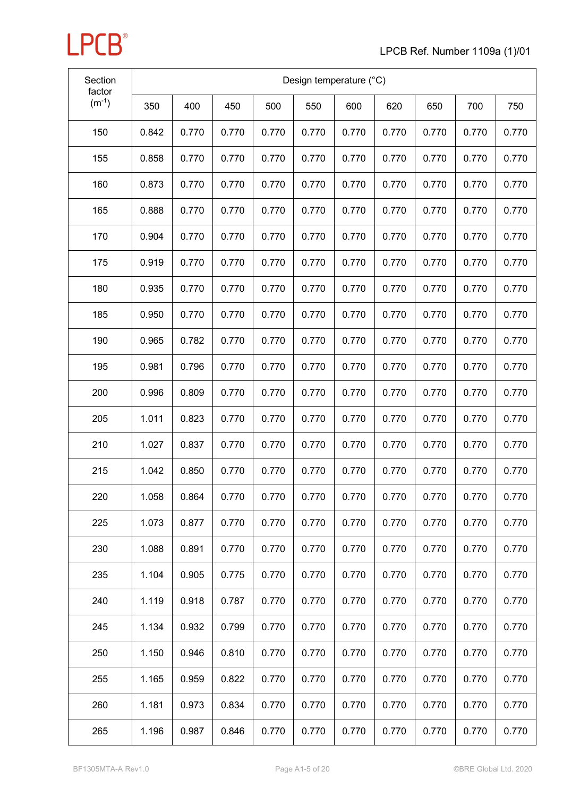| Section<br>factor |       |       |       |       |       | Design temperature (°C) |       |       |       |       |
|-------------------|-------|-------|-------|-------|-------|-------------------------|-------|-------|-------|-------|
| $(m^{-1})$        | 350   | 400   | 450   | 500   | 550   | 600                     | 620   | 650   | 700   | 750   |
| 150               | 0.842 | 0.770 | 0.770 | 0.770 | 0.770 | 0.770                   | 0.770 | 0.770 | 0.770 | 0.770 |
| 155               | 0.858 | 0.770 | 0.770 | 0.770 | 0.770 | 0.770                   | 0.770 | 0.770 | 0.770 | 0.770 |
| 160               | 0.873 | 0.770 | 0.770 | 0.770 | 0.770 | 0.770                   | 0.770 | 0.770 | 0.770 | 0.770 |
| 165               | 0.888 | 0.770 | 0.770 | 0.770 | 0.770 | 0.770                   | 0.770 | 0.770 | 0.770 | 0.770 |
| 170               | 0.904 | 0.770 | 0.770 | 0.770 | 0.770 | 0.770                   | 0.770 | 0.770 | 0.770 | 0.770 |
| 175               | 0.919 | 0.770 | 0.770 | 0.770 | 0.770 | 0.770                   | 0.770 | 0.770 | 0.770 | 0.770 |
| 180               | 0.935 | 0.770 | 0.770 | 0.770 | 0.770 | 0.770                   | 0.770 | 0.770 | 0.770 | 0.770 |
| 185               | 0.950 | 0.770 | 0.770 | 0.770 | 0.770 | 0.770                   | 0.770 | 0.770 | 0.770 | 0.770 |
| 190               | 0.965 | 0.782 | 0.770 | 0.770 | 0.770 | 0.770                   | 0.770 | 0.770 | 0.770 | 0.770 |
| 195               | 0.981 | 0.796 | 0.770 | 0.770 | 0.770 | 0.770                   | 0.770 | 0.770 | 0.770 | 0.770 |
| 200               | 0.996 | 0.809 | 0.770 | 0.770 | 0.770 | 0.770                   | 0.770 | 0.770 | 0.770 | 0.770 |
| 205               | 1.011 | 0.823 | 0.770 | 0.770 | 0.770 | 0.770                   | 0.770 | 0.770 | 0.770 | 0.770 |
| 210               | 1.027 | 0.837 | 0.770 | 0.770 | 0.770 | 0.770                   | 0.770 | 0.770 | 0.770 | 0.770 |
| 215               | 1.042 | 0.850 | 0.770 | 0.770 | 0.770 | 0.770                   | 0.770 | 0.770 | 0.770 | 0.770 |
| 220               | 1.058 | 0.864 | 0.770 | 0.770 | 0.770 | 0.770                   | 0.770 | 0.770 | 0.770 | 0.770 |
| 225               | 1.073 | 0.877 | 0.770 | 0.770 | 0.770 | 0.770                   | 0.770 | 0.770 | 0.770 | 0.770 |
| 230               | 1.088 | 0.891 | 0.770 | 0.770 | 0.770 | 0.770                   | 0.770 | 0.770 | 0.770 | 0.770 |
| 235               | 1.104 | 0.905 | 0.775 | 0.770 | 0.770 | 0.770                   | 0.770 | 0.770 | 0.770 | 0.770 |
| 240               | 1.119 | 0.918 | 0.787 | 0.770 | 0.770 | 0.770                   | 0.770 | 0.770 | 0.770 | 0.770 |
| 245               | 1.134 | 0.932 | 0.799 | 0.770 | 0.770 | 0.770                   | 0.770 | 0.770 | 0.770 | 0.770 |
| 250               | 1.150 | 0.946 | 0.810 | 0.770 | 0.770 | 0.770                   | 0.770 | 0.770 | 0.770 | 0.770 |
| 255               | 1.165 | 0.959 | 0.822 | 0.770 | 0.770 | 0.770                   | 0.770 | 0.770 | 0.770 | 0.770 |
| 260               | 1.181 | 0.973 | 0.834 | 0.770 | 0.770 | 0.770                   | 0.770 | 0.770 | 0.770 | 0.770 |
| 265               | 1.196 | 0.987 | 0.846 | 0.770 | 0.770 | 0.770                   | 0.770 | 0.770 | 0.770 | 0.770 |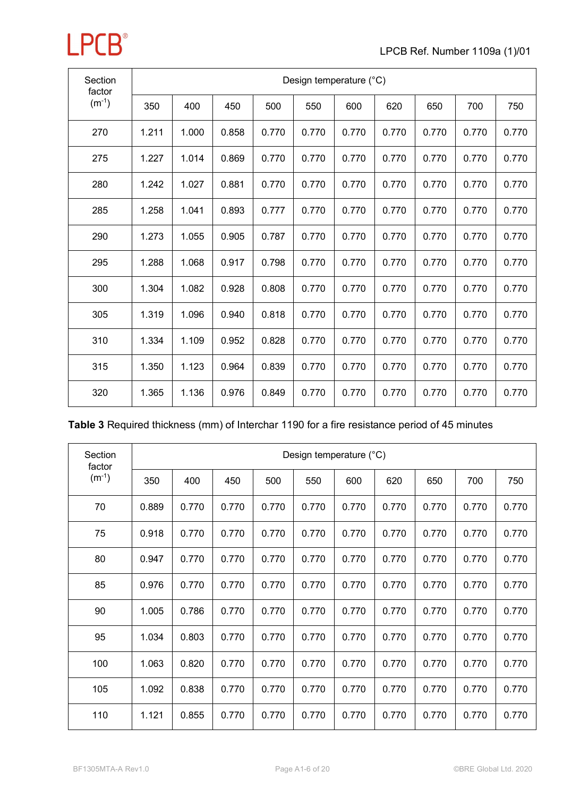| Section<br>factor |       |       |       |       |       | Design temperature (°C) |       |       |       |       |
|-------------------|-------|-------|-------|-------|-------|-------------------------|-------|-------|-------|-------|
| $(m^{-1})$        | 350   | 400   | 450   | 500   | 550   | 600                     | 620   | 650   | 700   | 750   |
| 270               | 1.211 | 1.000 | 0.858 | 0.770 | 0.770 | 0.770                   | 0.770 | 0.770 | 0.770 | 0.770 |
| 275               | 1.227 | 1.014 | 0.869 | 0.770 | 0.770 | 0.770                   | 0.770 | 0.770 | 0.770 | 0.770 |
| 280               | 1.242 | 1.027 | 0.881 | 0.770 | 0.770 | 0.770                   | 0.770 | 0.770 | 0.770 | 0.770 |
| 285               | 1.258 | 1.041 | 0.893 | 0.777 | 0.770 | 0.770                   | 0.770 | 0.770 | 0.770 | 0.770 |
| 290               | 1.273 | 1.055 | 0.905 | 0.787 | 0.770 | 0.770                   | 0.770 | 0.770 | 0.770 | 0.770 |
| 295               | 1.288 | 1.068 | 0.917 | 0.798 | 0.770 | 0.770                   | 0.770 | 0.770 | 0.770 | 0.770 |
| 300               | 1.304 | 1.082 | 0.928 | 0.808 | 0.770 | 0.770                   | 0.770 | 0.770 | 0.770 | 0.770 |
| 305               | 1.319 | 1.096 | 0.940 | 0.818 | 0.770 | 0.770                   | 0.770 | 0.770 | 0.770 | 0.770 |
| 310               | 1.334 | 1.109 | 0.952 | 0.828 | 0.770 | 0.770                   | 0.770 | 0.770 | 0.770 | 0.770 |
| 315               | 1.350 | 1.123 | 0.964 | 0.839 | 0.770 | 0.770                   | 0.770 | 0.770 | 0.770 | 0.770 |
| 320               | 1.365 | 1.136 | 0.976 | 0.849 | 0.770 | 0.770                   | 0.770 | 0.770 | 0.770 | 0.770 |

|  | Table 3 Required thickness (mm) of Interchar 1190 for a fire resistance period of 45 minutes |  |  |  |
|--|----------------------------------------------------------------------------------------------|--|--|--|
|--|----------------------------------------------------------------------------------------------|--|--|--|

| Section<br>factor | Design temperature (°C) |       |       |       |       |       |       |       |       |       |  |  |  |  |
|-------------------|-------------------------|-------|-------|-------|-------|-------|-------|-------|-------|-------|--|--|--|--|
| $(m^{-1})$        | 350                     | 400   | 450   | 500   | 550   | 600   | 620   | 650   | 700   | 750   |  |  |  |  |
| 70                | 0.889                   | 0.770 | 0.770 | 0.770 | 0.770 | 0.770 | 0.770 | 0.770 | 0.770 | 0.770 |  |  |  |  |
| 75                | 0.918                   | 0.770 | 0.770 | 0.770 | 0.770 | 0.770 | 0.770 | 0.770 | 0.770 | 0.770 |  |  |  |  |
| 80                | 0.947                   | 0.770 | 0.770 | 0.770 | 0.770 | 0.770 | 0.770 | 0.770 | 0.770 | 0.770 |  |  |  |  |
| 85                | 0.976                   | 0.770 | 0.770 | 0.770 | 0.770 | 0.770 | 0.770 | 0.770 | 0.770 | 0.770 |  |  |  |  |
| 90                | 1.005                   | 0.786 | 0.770 | 0.770 | 0.770 | 0.770 | 0.770 | 0.770 | 0.770 | 0.770 |  |  |  |  |
| 95                | 1.034                   | 0.803 | 0.770 | 0.770 | 0.770 | 0.770 | 0.770 | 0.770 | 0.770 | 0.770 |  |  |  |  |
| 100               | 1.063                   | 0.820 | 0.770 | 0.770 | 0.770 | 0.770 | 0.770 | 0.770 | 0.770 | 0.770 |  |  |  |  |
| 105               | 1.092                   | 0.838 | 0.770 | 0.770 | 0.770 | 0.770 | 0.770 | 0.770 | 0.770 | 0.770 |  |  |  |  |
| 110               | 1.121                   | 0.855 | 0.770 | 0.770 | 0.770 | 0.770 | 0.770 | 0.770 | 0.770 | 0.770 |  |  |  |  |

**LPCB**<sup>®</sup>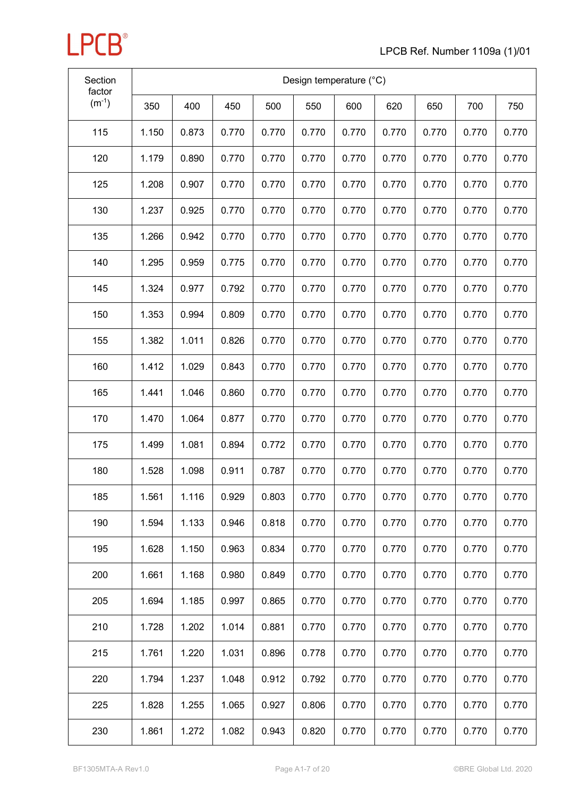| Section<br>factor |       |       |       |       |       | Design temperature (°C) |       |       |       |       |
|-------------------|-------|-------|-------|-------|-------|-------------------------|-------|-------|-------|-------|
| $(m^{-1})$        | 350   | 400   | 450   | 500   | 550   | 600                     | 620   | 650   | 700   | 750   |
| 115               | 1.150 | 0.873 | 0.770 | 0.770 | 0.770 | 0.770                   | 0.770 | 0.770 | 0.770 | 0.770 |
| 120               | 1.179 | 0.890 | 0.770 | 0.770 | 0.770 | 0.770                   | 0.770 | 0.770 | 0.770 | 0.770 |
| 125               | 1.208 | 0.907 | 0.770 | 0.770 | 0.770 | 0.770                   | 0.770 | 0.770 | 0.770 | 0.770 |
| 130               | 1.237 | 0.925 | 0.770 | 0.770 | 0.770 | 0.770                   | 0.770 | 0.770 | 0.770 | 0.770 |
| 135               | 1.266 | 0.942 | 0.770 | 0.770 | 0.770 | 0.770                   | 0.770 | 0.770 | 0.770 | 0.770 |
| 140               | 1.295 | 0.959 | 0.775 | 0.770 | 0.770 | 0.770                   | 0.770 | 0.770 | 0.770 | 0.770 |
| 145               | 1.324 | 0.977 | 0.792 | 0.770 | 0.770 | 0.770                   | 0.770 | 0.770 | 0.770 | 0.770 |
| 150               | 1.353 | 0.994 | 0.809 | 0.770 | 0.770 | 0.770                   | 0.770 | 0.770 | 0.770 | 0.770 |
| 155               | 1.382 | 1.011 | 0.826 | 0.770 | 0.770 | 0.770                   | 0.770 | 0.770 | 0.770 | 0.770 |
| 160               | 1.412 | 1.029 | 0.843 | 0.770 | 0.770 | 0.770                   | 0.770 | 0.770 | 0.770 | 0.770 |
| 165               | 1.441 | 1.046 | 0.860 | 0.770 | 0.770 | 0.770                   | 0.770 | 0.770 | 0.770 | 0.770 |
| 170               | 1.470 | 1.064 | 0.877 | 0.770 | 0.770 | 0.770                   | 0.770 | 0.770 | 0.770 | 0.770 |
| 175               | 1.499 | 1.081 | 0.894 | 0.772 | 0.770 | 0.770                   | 0.770 | 0.770 | 0.770 | 0.770 |
| 180               | 1.528 | 1.098 | 0.911 | 0.787 | 0.770 | 0.770                   | 0.770 | 0.770 | 0.770 | 0.770 |
| 185               | 1.561 | 1.116 | 0.929 | 0.803 | 0.770 | 0.770                   | 0.770 | 0.770 | 0.770 | 0.770 |
| 190               | 1.594 | 1.133 | 0.946 | 0.818 | 0.770 | 0.770                   | 0.770 | 0.770 | 0.770 | 0.770 |
| 195               | 1.628 | 1.150 | 0.963 | 0.834 | 0.770 | 0.770                   | 0.770 | 0.770 | 0.770 | 0.770 |
| 200               | 1.661 | 1.168 | 0.980 | 0.849 | 0.770 | 0.770                   | 0.770 | 0.770 | 0.770 | 0.770 |
| 205               | 1.694 | 1.185 | 0.997 | 0.865 | 0.770 | 0.770                   | 0.770 | 0.770 | 0.770 | 0.770 |
| 210               | 1.728 | 1.202 | 1.014 | 0.881 | 0.770 | 0.770                   | 0.770 | 0.770 | 0.770 | 0.770 |
| 215               | 1.761 | 1.220 | 1.031 | 0.896 | 0.778 | 0.770                   | 0.770 | 0.770 | 0.770 | 0.770 |
| 220               | 1.794 | 1.237 | 1.048 | 0.912 | 0.792 | 0.770                   | 0.770 | 0.770 | 0.770 | 0.770 |
| 225               | 1.828 | 1.255 | 1.065 | 0.927 | 0.806 | 0.770                   | 0.770 | 0.770 | 0.770 | 0.770 |
| 230               | 1.861 | 1.272 | 1.082 | 0.943 | 0.820 | 0.770                   | 0.770 | 0.770 | 0.770 | 0.770 |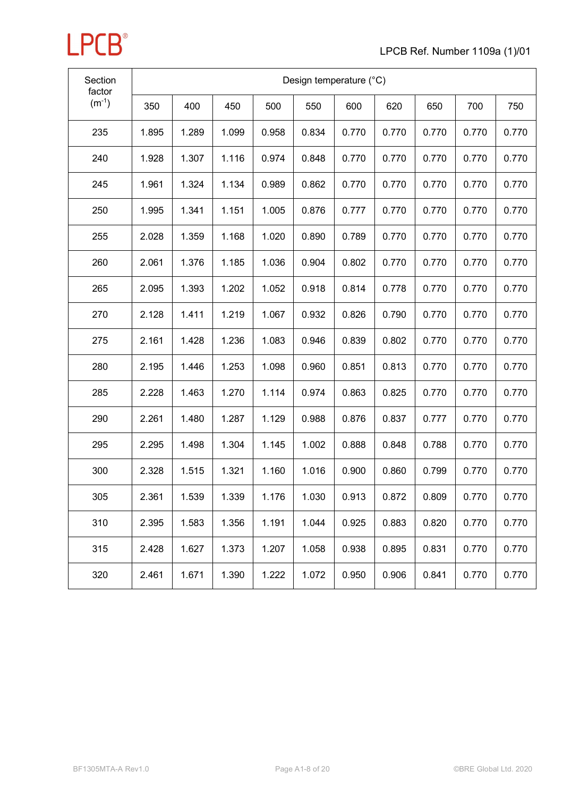

| Section<br>factor |       |       |       |       |       | Design temperature (°C) |       |       |       |       |
|-------------------|-------|-------|-------|-------|-------|-------------------------|-------|-------|-------|-------|
| $(m^{-1})$        | 350   | 400   | 450   | 500   | 550   | 600                     | 620   | 650   | 700   | 750   |
| 235               | 1.895 | 1.289 | 1.099 | 0.958 | 0.834 | 0.770                   | 0.770 | 0.770 | 0.770 | 0.770 |
| 240               | 1.928 | 1.307 | 1.116 | 0.974 | 0.848 | 0.770                   | 0.770 | 0.770 | 0.770 | 0.770 |
| 245               | 1.961 | 1.324 | 1.134 | 0.989 | 0.862 | 0.770                   | 0.770 | 0.770 | 0.770 | 0.770 |
| 250               | 1.995 | 1.341 | 1.151 | 1.005 | 0.876 | 0.777                   | 0.770 | 0.770 | 0.770 | 0.770 |
| 255               | 2.028 | 1.359 | 1.168 | 1.020 | 0.890 | 0.789                   | 0.770 | 0.770 | 0.770 | 0.770 |
| 260               | 2.061 | 1.376 | 1.185 | 1.036 | 0.904 | 0.802                   | 0.770 | 0.770 | 0.770 | 0.770 |
| 265               | 2.095 | 1.393 | 1.202 | 1.052 | 0.918 | 0.814                   | 0.778 | 0.770 | 0.770 | 0.770 |
| 270               | 2.128 | 1.411 | 1.219 | 1.067 | 0.932 | 0.826                   | 0.790 | 0.770 | 0.770 | 0.770 |
| 275               | 2.161 | 1.428 | 1.236 | 1.083 | 0.946 | 0.839                   | 0.802 | 0.770 | 0.770 | 0.770 |
| 280               | 2.195 | 1.446 | 1.253 | 1.098 | 0.960 | 0.851                   | 0.813 | 0.770 | 0.770 | 0.770 |
| 285               | 2.228 | 1.463 | 1.270 | 1.114 | 0.974 | 0.863                   | 0.825 | 0.770 | 0.770 | 0.770 |
| 290               | 2.261 | 1.480 | 1.287 | 1.129 | 0.988 | 0.876                   | 0.837 | 0.777 | 0.770 | 0.770 |
| 295               | 2.295 | 1.498 | 1.304 | 1.145 | 1.002 | 0.888                   | 0.848 | 0.788 | 0.770 | 0.770 |
| 300               | 2.328 | 1.515 | 1.321 | 1.160 | 1.016 | 0.900                   | 0.860 | 0.799 | 0.770 | 0.770 |
| 305               | 2.361 | 1.539 | 1.339 | 1.176 | 1.030 | 0.913                   | 0.872 | 0.809 | 0.770 | 0.770 |
| 310               | 2.395 | 1.583 | 1.356 | 1.191 | 1.044 | 0.925                   | 0.883 | 0.820 | 0.770 | 0.770 |
| 315               | 2.428 | 1.627 | 1.373 | 1.207 | 1.058 | 0.938                   | 0.895 | 0.831 | 0.770 | 0.770 |
| 320               | 2.461 | 1.671 | 1.390 | 1.222 | 1.072 | 0.950                   | 0.906 | 0.841 | 0.770 | 0.770 |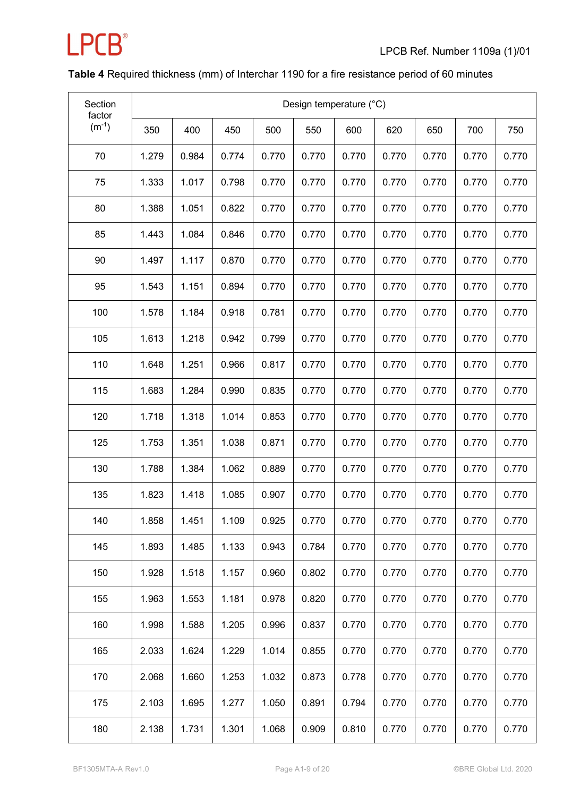

### **Table 4** Required thickness (mm) of Interchar 1190 for a fire resistance period of 60 minutes

| Section<br>factor |       |       |       |       |       | Design temperature (°C) |       |       |       |       |
|-------------------|-------|-------|-------|-------|-------|-------------------------|-------|-------|-------|-------|
| $(m^{-1})$        | 350   | 400   | 450   | 500   | 550   | 600                     | 620   | 650   | 700   | 750   |
| 70                | 1.279 | 0.984 | 0.774 | 0.770 | 0.770 | 0.770                   | 0.770 | 0.770 | 0.770 | 0.770 |
| 75                | 1.333 | 1.017 | 0.798 | 0.770 | 0.770 | 0.770                   | 0.770 | 0.770 | 0.770 | 0.770 |
| 80                | 1.388 | 1.051 | 0.822 | 0.770 | 0.770 | 0.770                   | 0.770 | 0.770 | 0.770 | 0.770 |
| 85                | 1.443 | 1.084 | 0.846 | 0.770 | 0.770 | 0.770                   | 0.770 | 0.770 | 0.770 | 0.770 |
| 90                | 1.497 | 1.117 | 0.870 | 0.770 | 0.770 | 0.770                   | 0.770 | 0.770 | 0.770 | 0.770 |
| 95                | 1.543 | 1.151 | 0.894 | 0.770 | 0.770 | 0.770                   | 0.770 | 0.770 | 0.770 | 0.770 |
| 100               | 1.578 | 1.184 | 0.918 | 0.781 | 0.770 | 0.770                   | 0.770 | 0.770 | 0.770 | 0.770 |
| 105               | 1.613 | 1.218 | 0.942 | 0.799 | 0.770 | 0.770                   | 0.770 | 0.770 | 0.770 | 0.770 |
| 110               | 1.648 | 1.251 | 0.966 | 0.817 | 0.770 | 0.770                   | 0.770 | 0.770 | 0.770 | 0.770 |
| 115               | 1.683 | 1.284 | 0.990 | 0.835 | 0.770 | 0.770                   | 0.770 | 0.770 | 0.770 | 0.770 |
| 120               | 1.718 | 1.318 | 1.014 | 0.853 | 0.770 | 0.770                   | 0.770 | 0.770 | 0.770 | 0.770 |
| 125               | 1.753 | 1.351 | 1.038 | 0.871 | 0.770 | 0.770                   | 0.770 | 0.770 | 0.770 | 0.770 |
| 130               | 1.788 | 1.384 | 1.062 | 0.889 | 0.770 | 0.770                   | 0.770 | 0.770 | 0.770 | 0.770 |
| 135               | 1.823 | 1.418 | 1.085 | 0.907 | 0.770 | 0.770                   | 0.770 | 0.770 | 0.770 | 0.770 |
| 140               | 1.858 | 1.451 | 1.109 | 0.925 | 0.770 | 0.770                   | 0.770 | 0.770 | 0.770 | 0.770 |
| 145               | 1.893 | 1.485 | 1.133 | 0.943 | 0.784 | 0.770                   | 0.770 | 0.770 | 0.770 | 0.770 |
| 150               | 1.928 | 1.518 | 1.157 | 0.960 | 0.802 | 0.770                   | 0.770 | 0.770 | 0.770 | 0.770 |
| 155               | 1.963 | 1.553 | 1.181 | 0.978 | 0.820 | 0.770                   | 0.770 | 0.770 | 0.770 | 0.770 |
| 160               | 1.998 | 1.588 | 1.205 | 0.996 | 0.837 | 0.770                   | 0.770 | 0.770 | 0.770 | 0.770 |
| 165               | 2.033 | 1.624 | 1.229 | 1.014 | 0.855 | 0.770                   | 0.770 | 0.770 | 0.770 | 0.770 |
| 170               | 2.068 | 1.660 | 1.253 | 1.032 | 0.873 | 0.778                   | 0.770 | 0.770 | 0.770 | 0.770 |
| 175               | 2.103 | 1.695 | 1.277 | 1.050 | 0.891 | 0.794                   | 0.770 | 0.770 | 0.770 | 0.770 |
| 180               | 2.138 | 1.731 | 1.301 | 1.068 | 0.909 | 0.810                   | 0.770 | 0.770 | 0.770 | 0.770 |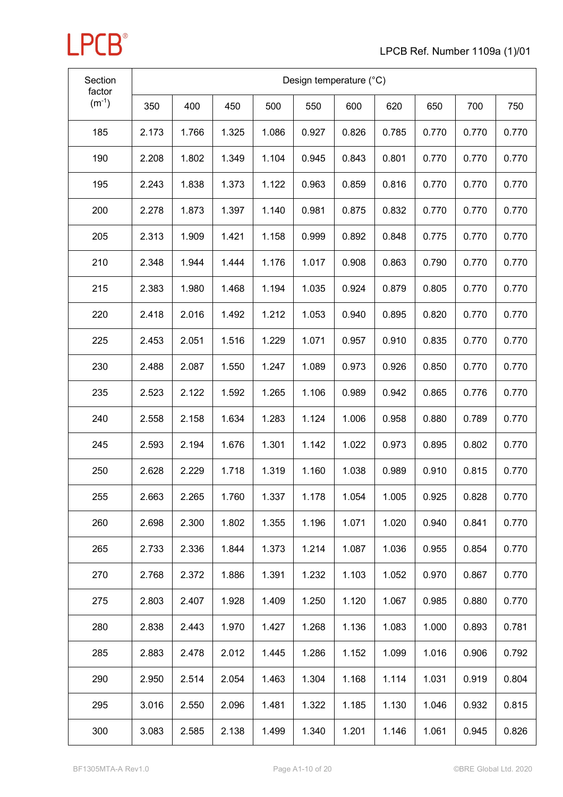| Section<br>factor |       |       |       |       |       | Design temperature (°C) |       |       |       |       |
|-------------------|-------|-------|-------|-------|-------|-------------------------|-------|-------|-------|-------|
| $(m^{-1})$        | 350   | 400   | 450   | 500   | 550   | 600                     | 620   | 650   | 700   | 750   |
| 185               | 2.173 | 1.766 | 1.325 | 1.086 | 0.927 | 0.826                   | 0.785 | 0.770 | 0.770 | 0.770 |
| 190               | 2.208 | 1.802 | 1.349 | 1.104 | 0.945 | 0.843                   | 0.801 | 0.770 | 0.770 | 0.770 |
| 195               | 2.243 | 1.838 | 1.373 | 1.122 | 0.963 | 0.859                   | 0.816 | 0.770 | 0.770 | 0.770 |
| 200               | 2.278 | 1.873 | 1.397 | 1.140 | 0.981 | 0.875                   | 0.832 | 0.770 | 0.770 | 0.770 |
| 205               | 2.313 | 1.909 | 1.421 | 1.158 | 0.999 | 0.892                   | 0.848 | 0.775 | 0.770 | 0.770 |
| 210               | 2.348 | 1.944 | 1.444 | 1.176 | 1.017 | 0.908                   | 0.863 | 0.790 | 0.770 | 0.770 |
| 215               | 2.383 | 1.980 | 1.468 | 1.194 | 1.035 | 0.924                   | 0.879 | 0.805 | 0.770 | 0.770 |
| 220               | 2.418 | 2.016 | 1.492 | 1.212 | 1.053 | 0.940                   | 0.895 | 0.820 | 0.770 | 0.770 |
| 225               | 2.453 | 2.051 | 1.516 | 1.229 | 1.071 | 0.957                   | 0.910 | 0.835 | 0.770 | 0.770 |
| 230               | 2.488 | 2.087 | 1.550 | 1.247 | 1.089 | 0.973                   | 0.926 | 0.850 | 0.770 | 0.770 |
| 235               | 2.523 | 2.122 | 1.592 | 1.265 | 1.106 | 0.989                   | 0.942 | 0.865 | 0.776 | 0.770 |
| 240               | 2.558 | 2.158 | 1.634 | 1.283 | 1.124 | 1.006                   | 0.958 | 0.880 | 0.789 | 0.770 |
| 245               | 2.593 | 2.194 | 1.676 | 1.301 | 1.142 | 1.022                   | 0.973 | 0.895 | 0.802 | 0.770 |
| 250               | 2.628 | 2.229 | 1.718 | 1.319 | 1.160 | 1.038                   | 0.989 | 0.910 | 0.815 | 0.770 |
| 255               | 2.663 | 2.265 | 1.760 | 1.337 | 1.178 | 1.054                   | 1.005 | 0.925 | 0.828 | 0.770 |
| 260               | 2.698 | 2.300 | 1.802 | 1.355 | 1.196 | 1.071                   | 1.020 | 0.940 | 0.841 | 0.770 |
| 265               | 2.733 | 2.336 | 1.844 | 1.373 | 1.214 | 1.087                   | 1.036 | 0.955 | 0.854 | 0.770 |
| 270               | 2.768 | 2.372 | 1.886 | 1.391 | 1.232 | 1.103                   | 1.052 | 0.970 | 0.867 | 0.770 |
| 275               | 2.803 | 2.407 | 1.928 | 1.409 | 1.250 | 1.120                   | 1.067 | 0.985 | 0.880 | 0.770 |
| 280               | 2.838 | 2.443 | 1.970 | 1.427 | 1.268 | 1.136                   | 1.083 | 1.000 | 0.893 | 0.781 |
| 285               | 2.883 | 2.478 | 2.012 | 1.445 | 1.286 | 1.152                   | 1.099 | 1.016 | 0.906 | 0.792 |
| 290               | 2.950 | 2.514 | 2.054 | 1.463 | 1.304 | 1.168                   | 1.114 | 1.031 | 0.919 | 0.804 |
| 295               | 3.016 | 2.550 | 2.096 | 1.481 | 1.322 | 1.185                   | 1.130 | 1.046 | 0.932 | 0.815 |
| 300               | 3.083 | 2.585 | 2.138 | 1.499 | 1.340 | 1.201                   | 1.146 | 1.061 | 0.945 | 0.826 |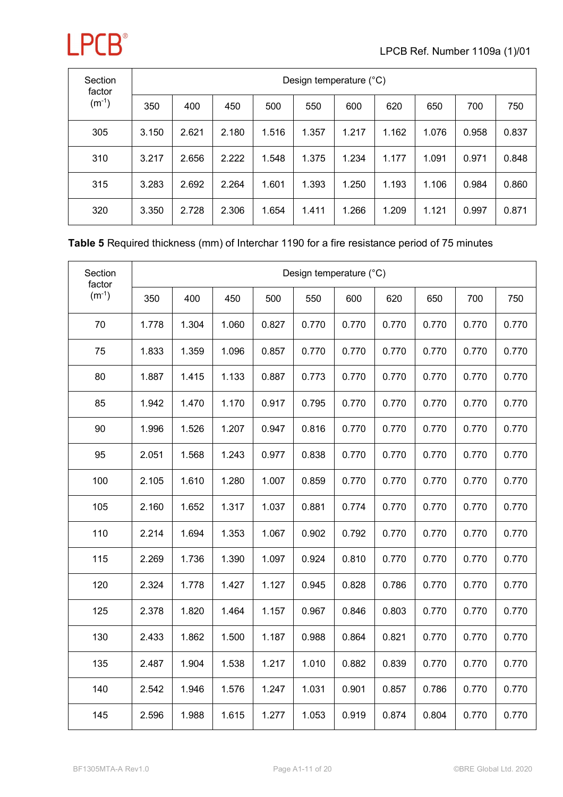

| Section<br>factor | Design temperature (°C) |       |       |       |       |       |       |       |       |       |  |  |  |
|-------------------|-------------------------|-------|-------|-------|-------|-------|-------|-------|-------|-------|--|--|--|
| $(m^{-1})$        | 350                     | 400   | 450   | 500   | 550   | 600   | 620   | 650   | 700   | 750   |  |  |  |
| 305               | 3.150                   | 2.621 | 2.180 | 1.516 | 1.357 | 1.217 | 1.162 | 1.076 | 0.958 | 0.837 |  |  |  |
| 310               | 3.217                   | 2.656 | 2.222 | 1.548 | 1.375 | 1.234 | 1.177 | 1.091 | 0.971 | 0.848 |  |  |  |
| 315               | 3.283                   | 2.692 | 2.264 | 1.601 | 1.393 | 1.250 | 1.193 | 1.106 | 0.984 | 0.860 |  |  |  |
| 320               | 3.350                   | 2.728 | 2.306 | 1.654 | 1.411 | 1.266 | 1.209 | 1.121 | 0.997 | 0.871 |  |  |  |

#### **Table 5** Required thickness (mm) of Interchar 1190 for a fire resistance period of 75 minutes

| Section<br>factor |       |       |       |       |       | Design temperature (°C) |       |       |       |       |
|-------------------|-------|-------|-------|-------|-------|-------------------------|-------|-------|-------|-------|
| $(m^{-1})$        | 350   | 400   | 450   | 500   | 550   | 600                     | 620   | 650   | 700   | 750   |
| 70                | 1.778 | 1.304 | 1.060 | 0.827 | 0.770 | 0.770                   | 0.770 | 0.770 | 0.770 | 0.770 |
| 75                | 1.833 | 1.359 | 1.096 | 0.857 | 0.770 | 0.770                   | 0.770 | 0.770 | 0.770 | 0.770 |
| 80                | 1.887 | 1.415 | 1.133 | 0.887 | 0.773 | 0.770                   | 0.770 | 0.770 | 0.770 | 0.770 |
| 85                | 1.942 | 1.470 | 1.170 | 0.917 | 0.795 | 0.770                   | 0.770 | 0.770 | 0.770 | 0.770 |
| 90                | 1.996 | 1.526 | 1.207 | 0.947 | 0.816 | 0.770                   | 0.770 | 0.770 | 0.770 | 0.770 |
| 95                | 2.051 | 1.568 | 1.243 | 0.977 | 0.838 | 0.770                   | 0.770 | 0.770 | 0.770 | 0.770 |
| 100               | 2.105 | 1.610 | 1.280 | 1.007 | 0.859 | 0.770                   | 0.770 | 0.770 | 0.770 | 0.770 |
| 105               | 2.160 | 1.652 | 1.317 | 1.037 | 0.881 | 0.774                   | 0.770 | 0.770 | 0.770 | 0.770 |
| 110               | 2.214 | 1.694 | 1.353 | 1.067 | 0.902 | 0.792                   | 0.770 | 0.770 | 0.770 | 0.770 |
| 115               | 2.269 | 1.736 | 1.390 | 1.097 | 0.924 | 0.810                   | 0.770 | 0.770 | 0.770 | 0.770 |
| 120               | 2.324 | 1.778 | 1.427 | 1.127 | 0.945 | 0.828                   | 0.786 | 0.770 | 0.770 | 0.770 |
| 125               | 2.378 | 1.820 | 1.464 | 1.157 | 0.967 | 0.846                   | 0.803 | 0.770 | 0.770 | 0.770 |
| 130               | 2.433 | 1.862 | 1.500 | 1.187 | 0.988 | 0.864                   | 0.821 | 0.770 | 0.770 | 0.770 |
| 135               | 2.487 | 1.904 | 1.538 | 1.217 | 1.010 | 0.882                   | 0.839 | 0.770 | 0.770 | 0.770 |
| 140               | 2.542 | 1.946 | 1.576 | 1.247 | 1.031 | 0.901                   | 0.857 | 0.786 | 0.770 | 0.770 |
| 145               | 2.596 | 1.988 | 1.615 | 1.277 | 1.053 | 0.919                   | 0.874 | 0.804 | 0.770 | 0.770 |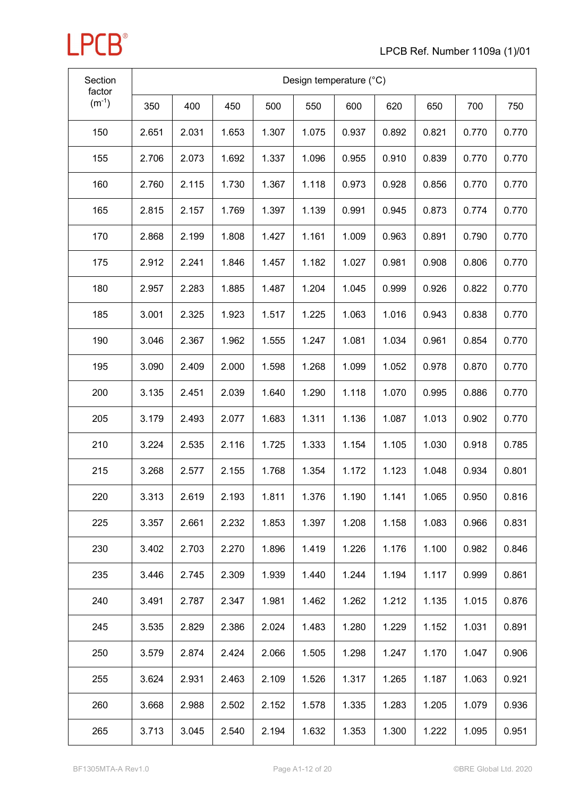| Section<br>factor | Design temperature (°C) |       |       |       |       |       |       |       |       |       |
|-------------------|-------------------------|-------|-------|-------|-------|-------|-------|-------|-------|-------|
| $(m^{-1})$        | 350                     | 400   | 450   | 500   | 550   | 600   | 620   | 650   | 700   | 750   |
| 150               | 2.651                   | 2.031 | 1.653 | 1.307 | 1.075 | 0.937 | 0.892 | 0.821 | 0.770 | 0.770 |
| 155               | 2.706                   | 2.073 | 1.692 | 1.337 | 1.096 | 0.955 | 0.910 | 0.839 | 0.770 | 0.770 |
| 160               | 2.760                   | 2.115 | 1.730 | 1.367 | 1.118 | 0.973 | 0.928 | 0.856 | 0.770 | 0.770 |
| 165               | 2.815                   | 2.157 | 1.769 | 1.397 | 1.139 | 0.991 | 0.945 | 0.873 | 0.774 | 0.770 |
| 170               | 2.868                   | 2.199 | 1.808 | 1.427 | 1.161 | 1.009 | 0.963 | 0.891 | 0.790 | 0.770 |
| 175               | 2.912                   | 2.241 | 1.846 | 1.457 | 1.182 | 1.027 | 0.981 | 0.908 | 0.806 | 0.770 |
| 180               | 2.957                   | 2.283 | 1.885 | 1.487 | 1.204 | 1.045 | 0.999 | 0.926 | 0.822 | 0.770 |
| 185               | 3.001                   | 2.325 | 1.923 | 1.517 | 1.225 | 1.063 | 1.016 | 0.943 | 0.838 | 0.770 |
| 190               | 3.046                   | 2.367 | 1.962 | 1.555 | 1.247 | 1.081 | 1.034 | 0.961 | 0.854 | 0.770 |
| 195               | 3.090                   | 2.409 | 2.000 | 1.598 | 1.268 | 1.099 | 1.052 | 0.978 | 0.870 | 0.770 |
| 200               | 3.135                   | 2.451 | 2.039 | 1.640 | 1.290 | 1.118 | 1.070 | 0.995 | 0.886 | 0.770 |
| 205               | 3.179                   | 2.493 | 2.077 | 1.683 | 1.311 | 1.136 | 1.087 | 1.013 | 0.902 | 0.770 |
| 210               | 3.224                   | 2.535 | 2.116 | 1.725 | 1.333 | 1.154 | 1.105 | 1.030 | 0.918 | 0.785 |
| 215               | 3.268                   | 2.577 | 2.155 | 1.768 | 1.354 | 1.172 | 1.123 | 1.048 | 0.934 | 0.801 |
| 220               | 3.313                   | 2.619 | 2.193 | 1.811 | 1.376 | 1.190 | 1.141 | 1.065 | 0.950 | 0.816 |
| 225               | 3.357                   | 2.661 | 2.232 | 1.853 | 1.397 | 1.208 | 1.158 | 1.083 | 0.966 | 0.831 |
| 230               | 3.402                   | 2.703 | 2.270 | 1.896 | 1.419 | 1.226 | 1.176 | 1.100 | 0.982 | 0.846 |
| 235               | 3.446                   | 2.745 | 2.309 | 1.939 | 1.440 | 1.244 | 1.194 | 1.117 | 0.999 | 0.861 |
| 240               | 3.491                   | 2.787 | 2.347 | 1.981 | 1.462 | 1.262 | 1.212 | 1.135 | 1.015 | 0.876 |
| 245               | 3.535                   | 2.829 | 2.386 | 2.024 | 1.483 | 1.280 | 1.229 | 1.152 | 1.031 | 0.891 |
| 250               | 3.579                   | 2.874 | 2.424 | 2.066 | 1.505 | 1.298 | 1.247 | 1.170 | 1.047 | 0.906 |
| 255               | 3.624                   | 2.931 | 2.463 | 2.109 | 1.526 | 1.317 | 1.265 | 1.187 | 1.063 | 0.921 |
| 260               | 3.668                   | 2.988 | 2.502 | 2.152 | 1.578 | 1.335 | 1.283 | 1.205 | 1.079 | 0.936 |
| 265               | 3.713                   | 3.045 | 2.540 | 2.194 | 1.632 | 1.353 | 1.300 | 1.222 | 1.095 | 0.951 |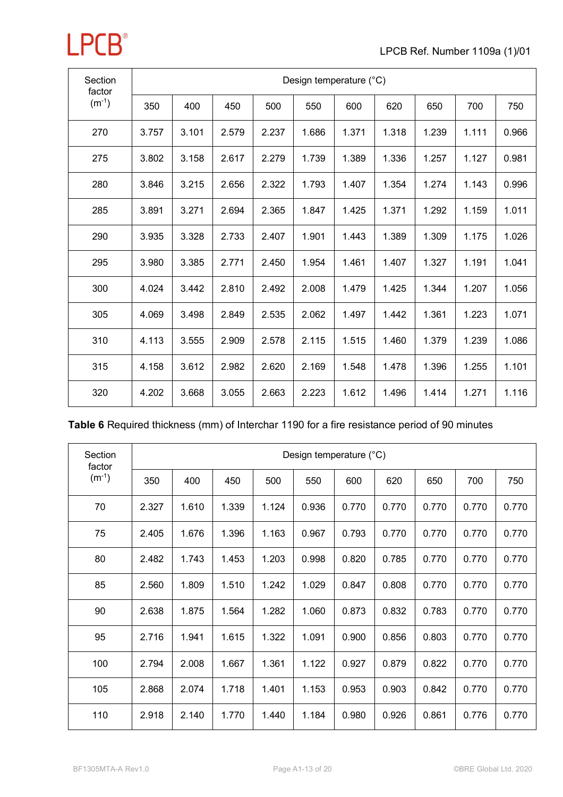| Section<br>factor |       | Design temperature (°C) |       |       |       |       |       |       |       |       |  |  |  |  |
|-------------------|-------|-------------------------|-------|-------|-------|-------|-------|-------|-------|-------|--|--|--|--|
| $(m^{-1})$        | 350   | 400                     | 450   | 500   | 550   | 600   | 620   | 650   | 700   | 750   |  |  |  |  |
| 270               | 3.757 | 3.101                   | 2.579 | 2.237 | 1.686 | 1.371 | 1.318 | 1.239 | 1.111 | 0.966 |  |  |  |  |
| 275               | 3.802 | 3.158                   | 2.617 | 2.279 | 1.739 | 1.389 | 1.336 | 1.257 | 1.127 | 0.981 |  |  |  |  |
| 280               | 3.846 | 3.215                   | 2.656 | 2.322 | 1.793 | 1.407 | 1.354 | 1.274 | 1.143 | 0.996 |  |  |  |  |
| 285               | 3.891 | 3.271                   | 2.694 | 2.365 | 1.847 | 1.425 | 1.371 | 1.292 | 1.159 | 1.011 |  |  |  |  |
| 290               | 3.935 | 3.328                   | 2.733 | 2.407 | 1.901 | 1.443 | 1.389 | 1.309 | 1.175 | 1.026 |  |  |  |  |
| 295               | 3.980 | 3.385                   | 2.771 | 2.450 | 1.954 | 1.461 | 1.407 | 1.327 | 1.191 | 1.041 |  |  |  |  |
| 300               | 4.024 | 3.442                   | 2.810 | 2.492 | 2.008 | 1.479 | 1.425 | 1.344 | 1.207 | 1.056 |  |  |  |  |
| 305               | 4.069 | 3.498                   | 2.849 | 2.535 | 2.062 | 1.497 | 1.442 | 1.361 | 1.223 | 1.071 |  |  |  |  |
| 310               | 4.113 | 3.555                   | 2.909 | 2.578 | 2.115 | 1.515 | 1.460 | 1.379 | 1.239 | 1.086 |  |  |  |  |
| 315               | 4.158 | 3.612                   | 2.982 | 2.620 | 2.169 | 1.548 | 1.478 | 1.396 | 1.255 | 1.101 |  |  |  |  |
| 320               | 4.202 | 3.668                   | 3.055 | 2.663 | 2.223 | 1.612 | 1.496 | 1.414 | 1.271 | 1.116 |  |  |  |  |

| Section<br>factor | Design temperature (°C) |       |       |       |       |       |       |       |       |       |  |  |  |
|-------------------|-------------------------|-------|-------|-------|-------|-------|-------|-------|-------|-------|--|--|--|
| $(m^{-1})$        | 350                     | 400   | 450   | 500   | 550   | 600   | 620   | 650   | 700   | 750   |  |  |  |
| 70                | 2.327                   | 1.610 | 1.339 | 1.124 | 0.936 | 0.770 | 0.770 | 0.770 | 0.770 | 0.770 |  |  |  |
| 75                | 2.405                   | 1.676 | 1.396 | 1.163 | 0.967 | 0.793 | 0.770 | 0.770 | 0.770 | 0.770 |  |  |  |
| 80                | 2.482                   | 1.743 | 1.453 | 1.203 | 0.998 | 0.820 | 0.785 | 0.770 | 0.770 | 0.770 |  |  |  |
| 85                | 2.560                   | 1.809 | 1.510 | 1.242 | 1.029 | 0.847 | 0.808 | 0.770 | 0.770 | 0.770 |  |  |  |
| 90                | 2.638                   | 1.875 | 1.564 | 1.282 | 1.060 | 0.873 | 0.832 | 0.783 | 0.770 | 0.770 |  |  |  |
| 95                | 2.716                   | 1.941 | 1.615 | 1.322 | 1.091 | 0.900 | 0.856 | 0.803 | 0.770 | 0.770 |  |  |  |
| 100               | 2.794                   | 2.008 | 1.667 | 1.361 | 1.122 | 0.927 | 0.879 | 0.822 | 0.770 | 0.770 |  |  |  |
| 105               | 2.868                   | 2.074 | 1.718 | 1.401 | 1.153 | 0.953 | 0.903 | 0.842 | 0.770 | 0.770 |  |  |  |
| 110               | 2.918                   | 2.140 | 1.770 | 1.440 | 1.184 | 0.980 | 0.926 | 0.861 | 0.776 | 0.770 |  |  |  |

**LPCB**<sup>®</sup>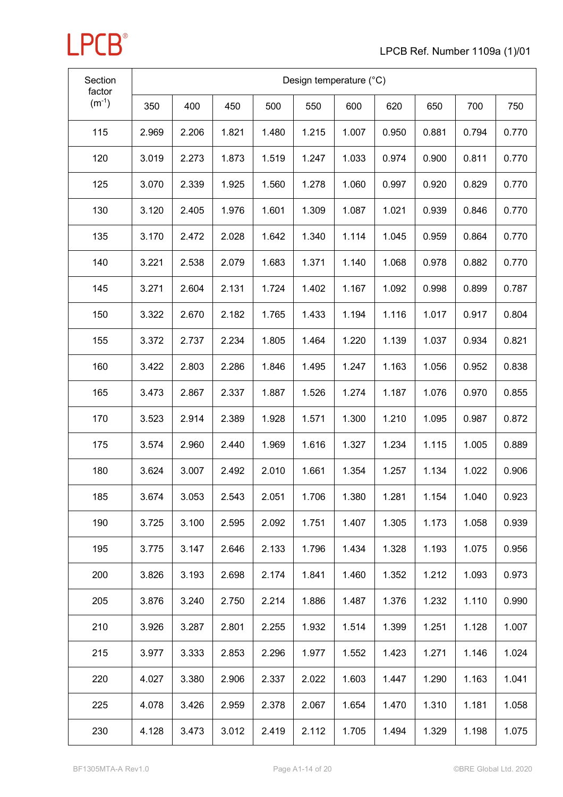| Section<br>factor | Design temperature (°C) |       |       |       |       |       |       |       |       |       |
|-------------------|-------------------------|-------|-------|-------|-------|-------|-------|-------|-------|-------|
| $(m^{-1})$        | 350                     | 400   | 450   | 500   | 550   | 600   | 620   | 650   | 700   | 750   |
| 115               | 2.969                   | 2.206 | 1.821 | 1.480 | 1.215 | 1.007 | 0.950 | 0.881 | 0.794 | 0.770 |
| 120               | 3.019                   | 2.273 | 1.873 | 1.519 | 1.247 | 1.033 | 0.974 | 0.900 | 0.811 | 0.770 |
| 125               | 3.070                   | 2.339 | 1.925 | 1.560 | 1.278 | 1.060 | 0.997 | 0.920 | 0.829 | 0.770 |
| 130               | 3.120                   | 2.405 | 1.976 | 1.601 | 1.309 | 1.087 | 1.021 | 0.939 | 0.846 | 0.770 |
| 135               | 3.170                   | 2.472 | 2.028 | 1.642 | 1.340 | 1.114 | 1.045 | 0.959 | 0.864 | 0.770 |
| 140               | 3.221                   | 2.538 | 2.079 | 1.683 | 1.371 | 1.140 | 1.068 | 0.978 | 0.882 | 0.770 |
| 145               | 3.271                   | 2.604 | 2.131 | 1.724 | 1.402 | 1.167 | 1.092 | 0.998 | 0.899 | 0.787 |
| 150               | 3.322                   | 2.670 | 2.182 | 1.765 | 1.433 | 1.194 | 1.116 | 1.017 | 0.917 | 0.804 |
| 155               | 3.372                   | 2.737 | 2.234 | 1.805 | 1.464 | 1.220 | 1.139 | 1.037 | 0.934 | 0.821 |
| 160               | 3.422                   | 2.803 | 2.286 | 1.846 | 1.495 | 1.247 | 1.163 | 1.056 | 0.952 | 0.838 |
| 165               | 3.473                   | 2.867 | 2.337 | 1.887 | 1.526 | 1.274 | 1.187 | 1.076 | 0.970 | 0.855 |
| 170               | 3.523                   | 2.914 | 2.389 | 1.928 | 1.571 | 1.300 | 1.210 | 1.095 | 0.987 | 0.872 |
| 175               | 3.574                   | 2.960 | 2.440 | 1.969 | 1.616 | 1.327 | 1.234 | 1.115 | 1.005 | 0.889 |
| 180               | 3.624                   | 3.007 | 2.492 | 2.010 | 1.661 | 1.354 | 1.257 | 1.134 | 1.022 | 0.906 |
| 185               | 3.674                   | 3.053 | 2.543 | 2.051 | 1.706 | 1.380 | 1.281 | 1.154 | 1.040 | 0.923 |
| 190               | 3.725                   | 3.100 | 2.595 | 2.092 | 1.751 | 1.407 | 1.305 | 1.173 | 1.058 | 0.939 |
| 195               | 3.775                   | 3.147 | 2.646 | 2.133 | 1.796 | 1.434 | 1.328 | 1.193 | 1.075 | 0.956 |
| 200               | 3.826                   | 3.193 | 2.698 | 2.174 | 1.841 | 1.460 | 1.352 | 1.212 | 1.093 | 0.973 |
| 205               | 3.876                   | 3.240 | 2.750 | 2.214 | 1.886 | 1.487 | 1.376 | 1.232 | 1.110 | 0.990 |
| 210               | 3.926                   | 3.287 | 2.801 | 2.255 | 1.932 | 1.514 | 1.399 | 1.251 | 1.128 | 1.007 |
| 215               | 3.977                   | 3.333 | 2.853 | 2.296 | 1.977 | 1.552 | 1.423 | 1.271 | 1.146 | 1.024 |
| 220               | 4.027                   | 3.380 | 2.906 | 2.337 | 2.022 | 1.603 | 1.447 | 1.290 | 1.163 | 1.041 |
| 225               | 4.078                   | 3.426 | 2.959 | 2.378 | 2.067 | 1.654 | 1.470 | 1.310 | 1.181 | 1.058 |
| 230               | 4.128                   | 3.473 | 3.012 | 2.419 | 2.112 | 1.705 | 1.494 | 1.329 | 1.198 | 1.075 |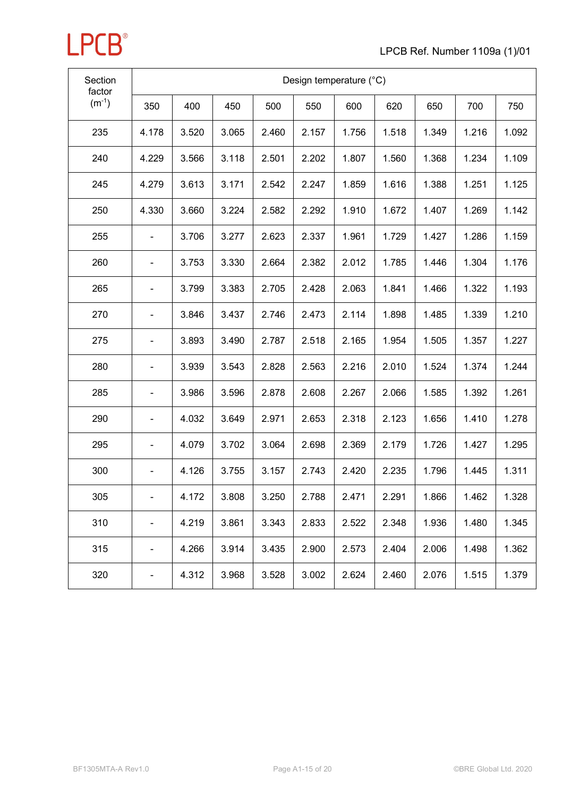

| Section<br>factor | Design temperature (°C)      |       |       |       |       |       |       |       |       |       |  |  |  |
|-------------------|------------------------------|-------|-------|-------|-------|-------|-------|-------|-------|-------|--|--|--|
| $(m^{-1})$        | 350                          | 400   | 450   | 500   | 550   | 600   | 620   | 650   | 700   | 750   |  |  |  |
| 235               | 4.178                        | 3.520 | 3.065 | 2.460 | 2.157 | 1.756 | 1.518 | 1.349 | 1.216 | 1.092 |  |  |  |
| 240               | 4.229                        | 3.566 | 3.118 | 2.501 | 2.202 | 1.807 | 1.560 | 1.368 | 1.234 | 1.109 |  |  |  |
| 245               | 4.279                        | 3.613 | 3.171 | 2.542 | 2.247 | 1.859 | 1.616 | 1.388 | 1.251 | 1.125 |  |  |  |
| 250               | 4.330                        | 3.660 | 3.224 | 2.582 | 2.292 | 1.910 | 1.672 | 1.407 | 1.269 | 1.142 |  |  |  |
| 255               |                              | 3.706 | 3.277 | 2.623 | 2.337 | 1.961 | 1.729 | 1.427 | 1.286 | 1.159 |  |  |  |
| 260               | $\overline{\phantom{0}}$     | 3.753 | 3.330 | 2.664 | 2.382 | 2.012 | 1.785 | 1.446 | 1.304 | 1.176 |  |  |  |
| 265               | $\overline{\phantom{0}}$     | 3.799 | 3.383 | 2.705 | 2.428 | 2.063 | 1.841 | 1.466 | 1.322 | 1.193 |  |  |  |
| 270               |                              | 3.846 | 3.437 | 2.746 | 2.473 | 2.114 | 1.898 | 1.485 | 1.339 | 1.210 |  |  |  |
| 275               | $\blacksquare$               | 3.893 | 3.490 | 2.787 | 2.518 | 2.165 | 1.954 | 1.505 | 1.357 | 1.227 |  |  |  |
| 280               |                              | 3.939 | 3.543 | 2.828 | 2.563 | 2.216 | 2.010 | 1.524 | 1.374 | 1.244 |  |  |  |
| 285               |                              | 3.986 | 3.596 | 2.878 | 2.608 | 2.267 | 2.066 | 1.585 | 1.392 | 1.261 |  |  |  |
| 290               | $\overline{\phantom{0}}$     | 4.032 | 3.649 | 2.971 | 2.653 | 2.318 | 2.123 | 1.656 | 1.410 | 1.278 |  |  |  |
| 295               | $\blacksquare$               | 4.079 | 3.702 | 3.064 | 2.698 | 2.369 | 2.179 | 1.726 | 1.427 | 1.295 |  |  |  |
| 300               | $\blacksquare$               | 4.126 | 3.755 | 3.157 | 2.743 | 2.420 | 2.235 | 1.796 | 1.445 | 1.311 |  |  |  |
| 305               |                              | 4.172 | 3.808 | 3.250 | 2.788 | 2.471 | 2.291 | 1.866 | 1.462 | 1.328 |  |  |  |
| 310               | $\qquad \qquad \blacksquare$ | 4.219 | 3.861 | 3.343 | 2.833 | 2.522 | 2.348 | 1.936 | 1.480 | 1.345 |  |  |  |
| 315               | -                            | 4.266 | 3.914 | 3.435 | 2.900 | 2.573 | 2.404 | 2.006 | 1.498 | 1.362 |  |  |  |
| 320               | $\overline{\phantom{0}}$     | 4.312 | 3.968 | 3.528 | 3.002 | 2.624 | 2.460 | 2.076 | 1.515 | 1.379 |  |  |  |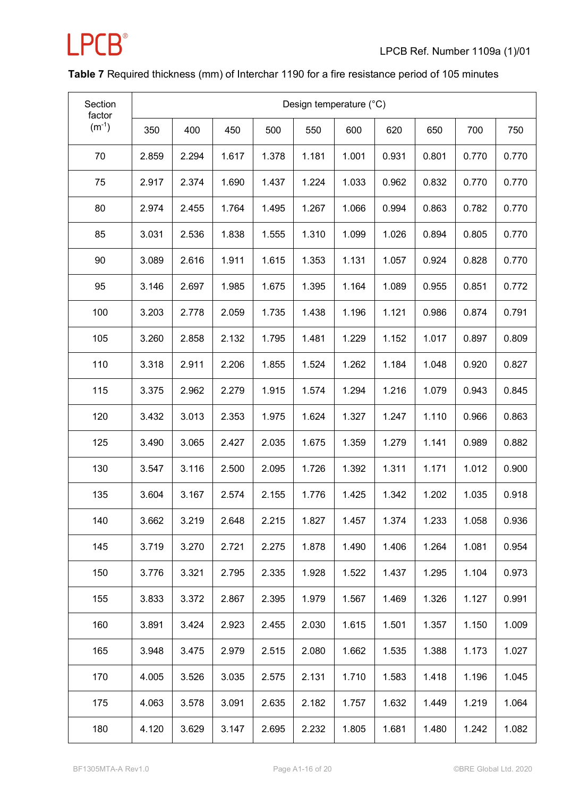

### **Table 7** Required thickness (mm) of Interchar 1190 for a fire resistance period of 105 minutes

| Section<br>factor | Design temperature (°C) |       |       |       |       |       |       |       |       |       |
|-------------------|-------------------------|-------|-------|-------|-------|-------|-------|-------|-------|-------|
| $(m^{-1})$        | 350                     | 400   | 450   | 500   | 550   | 600   | 620   | 650   | 700   | 750   |
| 70                | 2.859                   | 2.294 | 1.617 | 1.378 | 1.181 | 1.001 | 0.931 | 0.801 | 0.770 | 0.770 |
| 75                | 2.917                   | 2.374 | 1.690 | 1.437 | 1.224 | 1.033 | 0.962 | 0.832 | 0.770 | 0.770 |
| 80                | 2.974                   | 2.455 | 1.764 | 1.495 | 1.267 | 1.066 | 0.994 | 0.863 | 0.782 | 0.770 |
| 85                | 3.031                   | 2.536 | 1.838 | 1.555 | 1.310 | 1.099 | 1.026 | 0.894 | 0.805 | 0.770 |
| 90                | 3.089                   | 2.616 | 1.911 | 1.615 | 1.353 | 1.131 | 1.057 | 0.924 | 0.828 | 0.770 |
| 95                | 3.146                   | 2.697 | 1.985 | 1.675 | 1.395 | 1.164 | 1.089 | 0.955 | 0.851 | 0.772 |
| 100               | 3.203                   | 2.778 | 2.059 | 1.735 | 1.438 | 1.196 | 1.121 | 0.986 | 0.874 | 0.791 |
| 105               | 3.260                   | 2.858 | 2.132 | 1.795 | 1.481 | 1.229 | 1.152 | 1.017 | 0.897 | 0.809 |
| 110               | 3.318                   | 2.911 | 2.206 | 1.855 | 1.524 | 1.262 | 1.184 | 1.048 | 0.920 | 0.827 |
| 115               | 3.375                   | 2.962 | 2.279 | 1.915 | 1.574 | 1.294 | 1.216 | 1.079 | 0.943 | 0.845 |
| 120               | 3.432                   | 3.013 | 2.353 | 1.975 | 1.624 | 1.327 | 1.247 | 1.110 | 0.966 | 0.863 |
| 125               | 3.490                   | 3.065 | 2.427 | 2.035 | 1.675 | 1.359 | 1.279 | 1.141 | 0.989 | 0.882 |
| 130               | 3.547                   | 3.116 | 2.500 | 2.095 | 1.726 | 1.392 | 1.311 | 1.171 | 1.012 | 0.900 |
| 135               | 3.604                   | 3.167 | 2.574 | 2.155 | 1.776 | 1.425 | 1.342 | 1.202 | 1.035 | 0.918 |
| 140               | 3.662                   | 3.219 | 2.648 | 2.215 | 1.827 | 1.457 | 1.374 | 1.233 | 1.058 | 0.936 |
| 145               | 3.719                   | 3.270 | 2.721 | 2.275 | 1.878 | 1.490 | 1.406 | 1.264 | 1.081 | 0.954 |
| 150               | 3.776                   | 3.321 | 2.795 | 2.335 | 1.928 | 1.522 | 1.437 | 1.295 | 1.104 | 0.973 |
| 155               | 3.833                   | 3.372 | 2.867 | 2.395 | 1.979 | 1.567 | 1.469 | 1.326 | 1.127 | 0.991 |
| 160               | 3.891                   | 3.424 | 2.923 | 2.455 | 2.030 | 1.615 | 1.501 | 1.357 | 1.150 | 1.009 |
| 165               | 3.948                   | 3.475 | 2.979 | 2.515 | 2.080 | 1.662 | 1.535 | 1.388 | 1.173 | 1.027 |
| 170               | 4.005                   | 3.526 | 3.035 | 2.575 | 2.131 | 1.710 | 1.583 | 1.418 | 1.196 | 1.045 |
| 175               | 4.063                   | 3.578 | 3.091 | 2.635 | 2.182 | 1.757 | 1.632 | 1.449 | 1.219 | 1.064 |
| 180               | 4.120                   | 3.629 | 3.147 | 2.695 | 2.232 | 1.805 | 1.681 | 1.480 | 1.242 | 1.082 |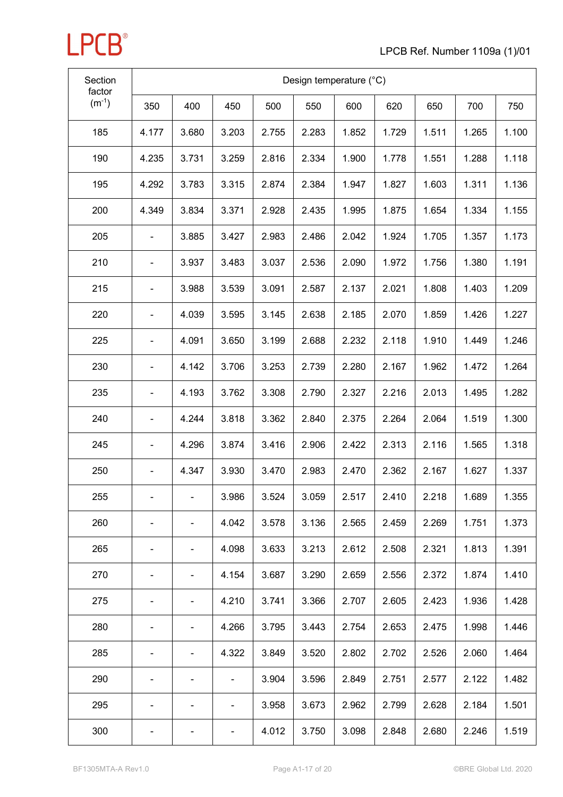| Section<br>factor |                              | Design temperature (°C)      |                          |       |       |       |       |       |       |       |  |
|-------------------|------------------------------|------------------------------|--------------------------|-------|-------|-------|-------|-------|-------|-------|--|
| $(m^{-1})$        | 350                          | 400                          | 450                      | 500   | 550   | 600   | 620   | 650   | 700   | 750   |  |
| 185               | 4.177                        | 3.680                        | 3.203                    | 2.755 | 2.283 | 1.852 | 1.729 | 1.511 | 1.265 | 1.100 |  |
| 190               | 4.235                        | 3.731                        | 3.259                    | 2.816 | 2.334 | 1.900 | 1.778 | 1.551 | 1.288 | 1.118 |  |
| 195               | 4.292                        | 3.783                        | 3.315                    | 2.874 | 2.384 | 1.947 | 1.827 | 1.603 | 1.311 | 1.136 |  |
| 200               | 4.349                        | 3.834                        | 3.371                    | 2.928 | 2.435 | 1.995 | 1.875 | 1.654 | 1.334 | 1.155 |  |
| 205               |                              | 3.885                        | 3.427                    | 2.983 | 2.486 | 2.042 | 1.924 | 1.705 | 1.357 | 1.173 |  |
| 210               |                              | 3.937                        | 3.483                    | 3.037 | 2.536 | 2.090 | 1.972 | 1.756 | 1.380 | 1.191 |  |
| 215               | $\qquad \qquad \blacksquare$ | 3.988                        | 3.539                    | 3.091 | 2.587 | 2.137 | 2.021 | 1.808 | 1.403 | 1.209 |  |
| 220               |                              | 4.039                        | 3.595                    | 3.145 | 2.638 | 2.185 | 2.070 | 1.859 | 1.426 | 1.227 |  |
| 225               | $\overline{\phantom{0}}$     | 4.091                        | 3.650                    | 3.199 | 2.688 | 2.232 | 2.118 | 1.910 | 1.449 | 1.246 |  |
| 230               | $\overline{\phantom{0}}$     | 4.142                        | 3.706                    | 3.253 | 2.739 | 2.280 | 2.167 | 1.962 | 1.472 | 1.264 |  |
| 235               | $\blacksquare$               | 4.193                        | 3.762                    | 3.308 | 2.790 | 2.327 | 2.216 | 2.013 | 1.495 | 1.282 |  |
| 240               |                              | 4.244                        | 3.818                    | 3.362 | 2.840 | 2.375 | 2.264 | 2.064 | 1.519 | 1.300 |  |
| 245               | $\qquad \qquad \blacksquare$ | 4.296                        | 3.874                    | 3.416 | 2.906 | 2.422 | 2.313 | 2.116 | 1.565 | 1.318 |  |
| 250               | $\overline{\phantom{0}}$     | 4.347                        | 3.930                    | 3.470 | 2.983 | 2.470 | 2.362 | 2.167 | 1.627 | 1.337 |  |
| 255               | $\blacksquare$               | $\qquad \qquad \blacksquare$ | 3.986                    | 3.524 | 3.059 | 2.517 | 2.410 | 2.218 | 1.689 | 1.355 |  |
| 260               |                              | -                            | 4.042                    | 3.578 | 3.136 | 2.565 | 2.459 | 2.269 | 1.751 | 1.373 |  |
| 265               | ۰                            | -                            | 4.098                    | 3.633 | 3.213 | 2.612 | 2.508 | 2.321 | 1.813 | 1.391 |  |
| 270               | ٠                            | ۰                            | 4.154                    | 3.687 | 3.290 | 2.659 | 2.556 | 2.372 | 1.874 | 1.410 |  |
| 275               |                              | -                            | 4.210                    | 3.741 | 3.366 | 2.707 | 2.605 | 2.423 | 1.936 | 1.428 |  |
| 280               |                              |                              | 4.266                    | 3.795 | 3.443 | 2.754 | 2.653 | 2.475 | 1.998 | 1.446 |  |
| 285               |                              | -                            | 4.322                    | 3.849 | 3.520 | 2.802 | 2.702 | 2.526 | 2.060 | 1.464 |  |
| 290               | ۰                            |                              | -                        | 3.904 | 3.596 | 2.849 | 2.751 | 2.577 | 2.122 | 1.482 |  |
| 295               |                              |                              | $\overline{\phantom{a}}$ | 3.958 | 3.673 | 2.962 | 2.799 | 2.628 | 2.184 | 1.501 |  |
| 300               |                              |                              |                          | 4.012 | 3.750 | 3.098 | 2.848 | 2.680 | 2.246 | 1.519 |  |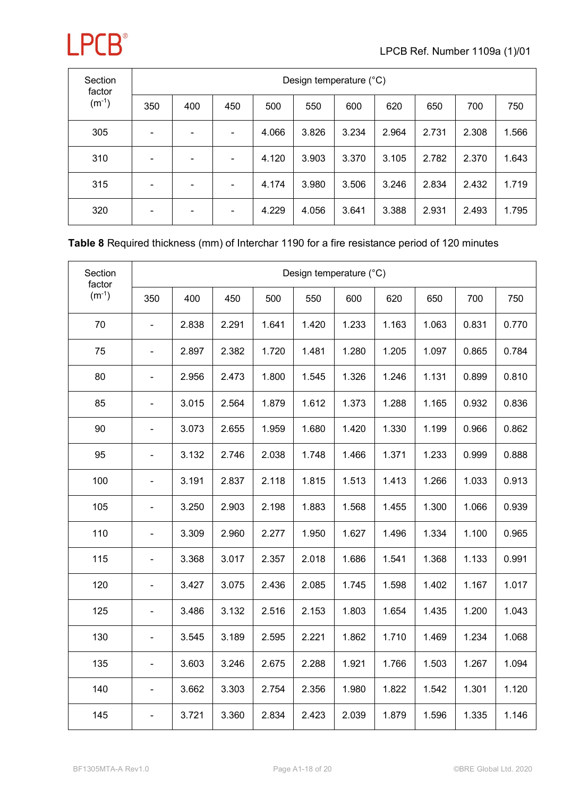

| Section<br>factor |                          | Design temperature (°C) |                          |       |       |       |       |       |       |       |  |  |  |  |
|-------------------|--------------------------|-------------------------|--------------------------|-------|-------|-------|-------|-------|-------|-------|--|--|--|--|
| $(m^{-1})$        | 350                      | 400                     | 450                      | 500   | 550   | 600   | 620   | 650   | 700   | 750   |  |  |  |  |
| 305               | $\blacksquare$           |                         | -                        | 4.066 | 3.826 | 3.234 | 2.964 | 2.731 | 2.308 | 1.566 |  |  |  |  |
| 310               | $\overline{\phantom{a}}$ |                         | $\overline{\phantom{a}}$ | 4.120 | 3.903 | 3.370 | 3.105 | 2.782 | 2.370 | 1.643 |  |  |  |  |
| 315               | ۰                        |                         |                          | 4.174 | 3.980 | 3.506 | 3.246 | 2.834 | 2.432 | 1.719 |  |  |  |  |
| 320               | ۰                        |                         | ٠                        | 4.229 | 4.056 | 3.641 | 3.388 | 2.931 | 2.493 | 1.795 |  |  |  |  |

#### **Table 8** Required thickness (mm) of Interchar 1190 for a fire resistance period of 120 minutes

| Section<br>factor |                          |       |       |       |       | Design temperature (°C) |       |       |       |       |
|-------------------|--------------------------|-------|-------|-------|-------|-------------------------|-------|-------|-------|-------|
| $(m^{-1})$        | 350                      | 400   | 450   | 500   | 550   | 600                     | 620   | 650   | 700   | 750   |
| 70                | $\blacksquare$           | 2.838 | 2.291 | 1.641 | 1.420 | 1.233                   | 1.163 | 1.063 | 0.831 | 0.770 |
| 75                | $\frac{1}{2}$            | 2.897 | 2.382 | 1.720 | 1.481 | 1.280                   | 1.205 | 1.097 | 0.865 | 0.784 |
| 80                | $\overline{\phantom{0}}$ | 2.956 | 2.473 | 1.800 | 1.545 | 1.326                   | 1.246 | 1.131 | 0.899 | 0.810 |
| 85                | ÷,                       | 3.015 | 2.564 | 1.879 | 1.612 | 1.373                   | 1.288 | 1.165 | 0.932 | 0.836 |
| 90                | ÷,                       | 3.073 | 2.655 | 1.959 | 1.680 | 1.420                   | 1.330 | 1.199 | 0.966 | 0.862 |
| 95                | $\overline{\phantom{0}}$ | 3.132 | 2.746 | 2.038 | 1.748 | 1.466                   | 1.371 | 1.233 | 0.999 | 0.888 |
| 100               | ÷,                       | 3.191 | 2.837 | 2.118 | 1.815 | 1.513                   | 1.413 | 1.266 | 1.033 | 0.913 |
| 105               | ÷,                       | 3.250 | 2.903 | 2.198 | 1.883 | 1.568                   | 1.455 | 1.300 | 1.066 | 0.939 |
| 110               | $\overline{\phantom{0}}$ | 3.309 | 2.960 | 2.277 | 1.950 | 1.627                   | 1.496 | 1.334 | 1.100 | 0.965 |
| 115               | ÷,                       | 3.368 | 3.017 | 2.357 | 2.018 | 1.686                   | 1.541 | 1.368 | 1.133 | 0.991 |
| 120               | $\blacksquare$           | 3.427 | 3.075 | 2.436 | 2.085 | 1.745                   | 1.598 | 1.402 | 1.167 | 1.017 |
| 125               | $\blacksquare$           | 3.486 | 3.132 | 2.516 | 2.153 | 1.803                   | 1.654 | 1.435 | 1.200 | 1.043 |
| 130               | $\frac{1}{2}$            | 3.545 | 3.189 | 2.595 | 2.221 | 1.862                   | 1.710 | 1.469 | 1.234 | 1.068 |
| 135               | ä,                       | 3.603 | 3.246 | 2.675 | 2.288 | 1.921                   | 1.766 | 1.503 | 1.267 | 1.094 |
| 140               | $\blacksquare$           | 3.662 | 3.303 | 2.754 | 2.356 | 1.980                   | 1.822 | 1.542 | 1.301 | 1.120 |
| 145               | -                        | 3.721 | 3.360 | 2.834 | 2.423 | 2.039                   | 1.879 | 1.596 | 1.335 | 1.146 |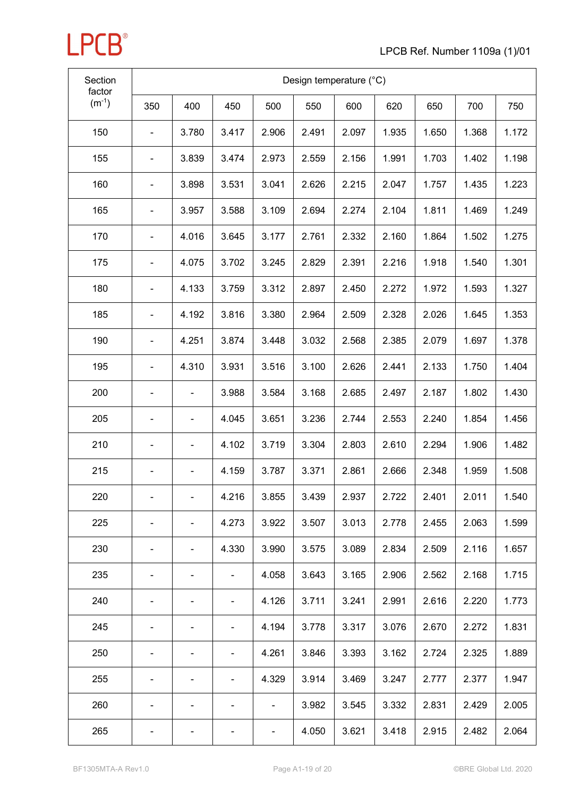

| Section<br>factor<br>$(m^{-1})$ | Design temperature (°C)  |                              |       |       |       |       |       |       |       |       |  |
|---------------------------------|--------------------------|------------------------------|-------|-------|-------|-------|-------|-------|-------|-------|--|
|                                 | 350                      | 400                          | 450   | 500   | 550   | 600   | 620   | 650   | 700   | 750   |  |
| 150                             |                          | 3.780                        | 3.417 | 2.906 | 2.491 | 2.097 | 1.935 | 1.650 | 1.368 | 1.172 |  |
| 155                             | $\blacksquare$           | 3.839                        | 3.474 | 2.973 | 2.559 | 2.156 | 1.991 | 1.703 | 1.402 | 1.198 |  |
| 160                             |                          | 3.898                        | 3.531 | 3.041 | 2.626 | 2.215 | 2.047 | 1.757 | 1.435 | 1.223 |  |
| 165                             | $\overline{\phantom{0}}$ | 3.957                        | 3.588 | 3.109 | 2.694 | 2.274 | 2.104 | 1.811 | 1.469 | 1.249 |  |
| 170                             | -                        | 4.016                        | 3.645 | 3.177 | 2.761 | 2.332 | 2.160 | 1.864 | 1.502 | 1.275 |  |
| 175                             |                          | 4.075                        | 3.702 | 3.245 | 2.829 | 2.391 | 2.216 | 1.918 | 1.540 | 1.301 |  |
| 180                             |                          | 4.133                        | 3.759 | 3.312 | 2.897 | 2.450 | 2.272 | 1.972 | 1.593 | 1.327 |  |
| 185                             |                          | 4.192                        | 3.816 | 3.380 | 2.964 | 2.509 | 2.328 | 2.026 | 1.645 | 1.353 |  |
| 190                             | $\overline{\phantom{0}}$ | 4.251                        | 3.874 | 3.448 | 3.032 | 2.568 | 2.385 | 2.079 | 1.697 | 1.378 |  |
| 195                             |                          | 4.310                        | 3.931 | 3.516 | 3.100 | 2.626 | 2.441 | 2.133 | 1.750 | 1.404 |  |
| 200                             |                          | -                            | 3.988 | 3.584 | 3.168 | 2.685 | 2.497 | 2.187 | 1.802 | 1.430 |  |
| 205                             |                          | $\qquad \qquad \blacksquare$ | 4.045 | 3.651 | 3.236 | 2.744 | 2.553 | 2.240 | 1.854 | 1.456 |  |
| 210                             |                          | $\qquad \qquad \blacksquare$ | 4.102 | 3.719 | 3.304 | 2.803 | 2.610 | 2.294 | 1.906 | 1.482 |  |
| 215                             |                          | ۰                            | 4.159 | 3.787 | 3.371 | 2.861 | 2.666 | 2.348 | 1.959 | 1.508 |  |
| 220                             |                          | $\blacksquare$               | 4.216 | 3.855 | 3.439 | 2.937 | 2.722 | 2.401 | 2.011 | 1.540 |  |
| 225                             |                          | -                            | 4.273 | 3.922 | 3.507 | 3.013 | 2.778 | 2.455 | 2.063 | 1.599 |  |
| 230                             | ٠                        | ۰                            | 4.330 | 3.990 | 3.575 | 3.089 | 2.834 | 2.509 | 2.116 | 1.657 |  |
| 235                             |                          |                              |       | 4.058 | 3.643 | 3.165 | 2.906 | 2.562 | 2.168 | 1.715 |  |
| 240                             |                          | ٠                            | -     | 4.126 | 3.711 | 3.241 | 2.991 | 2.616 | 2.220 | 1.773 |  |
| 245                             |                          |                              | -     | 4.194 | 3.778 | 3.317 | 3.076 | 2.670 | 2.272 | 1.831 |  |
| 250                             | -                        | -                            | -     | 4.261 | 3.846 | 3.393 | 3.162 | 2.724 | 2.325 | 1.889 |  |
| 255                             |                          |                              |       | 4.329 | 3.914 | 3.469 | 3.247 | 2.777 | 2.377 | 1.947 |  |
| 260                             |                          | ۰                            | ۳     | ۰     | 3.982 | 3.545 | 3.332 | 2.831 | 2.429 | 2.005 |  |
| 265                             |                          | ٠                            |       |       | 4.050 | 3.621 | 3.418 | 2.915 | 2.482 | 2.064 |  |